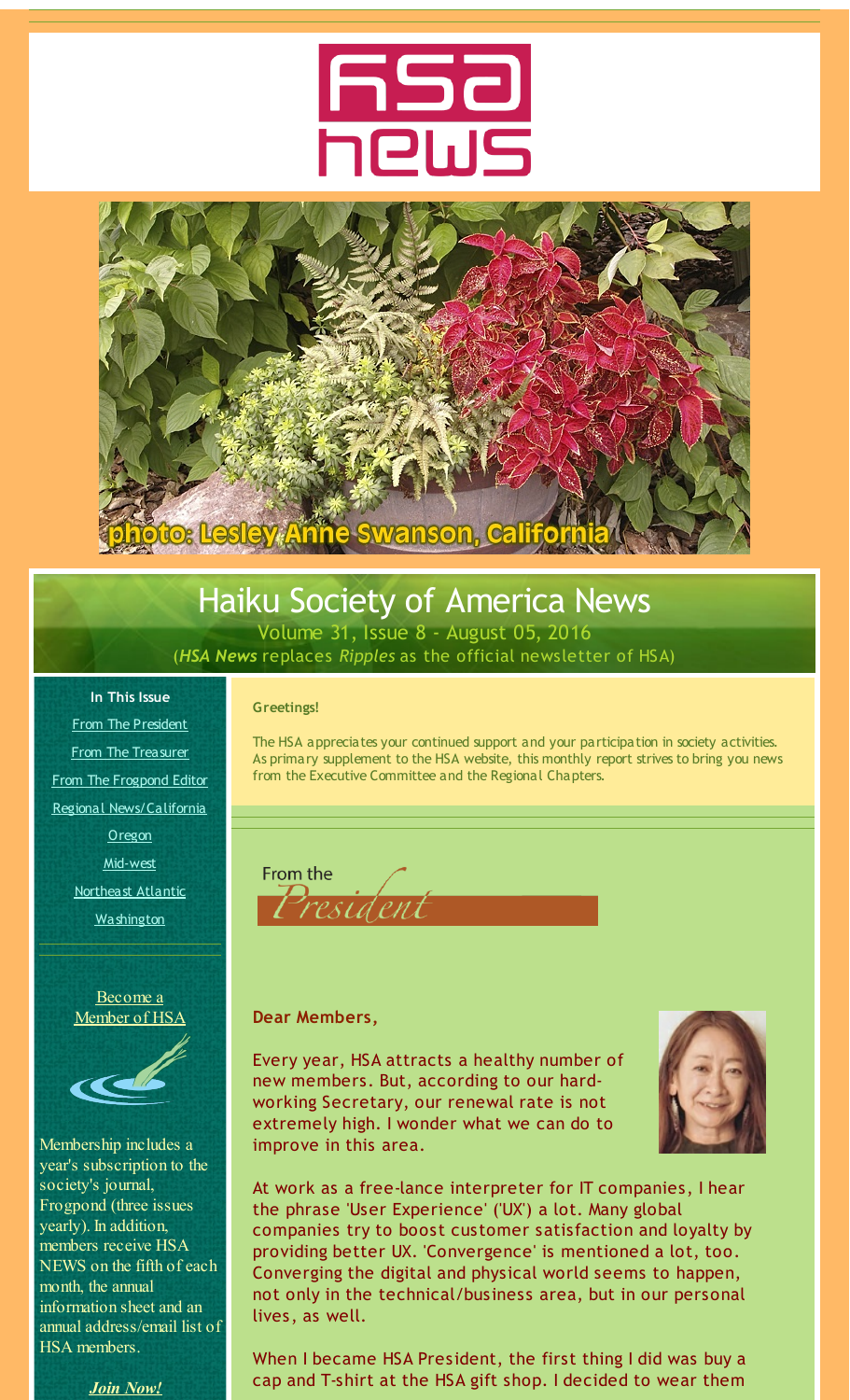

<span id="page-0-0"></span>

## Haiku Society of America News

Volume 31, Issue 8 - August 05, 2016 (*HSA News* replaces *Ripples* as the official newsletter of HSA)

#### **Greetings!**

From The [President](#page-0-0) From The [Treasurer](#page-0-0) From The [Frogpond](#page-0-0) Editor Regional [News/California](#page-0-0) **[Oregon](#page-0-0)** [Mid-west](#page-0-0) [Northeast](#page-0-0) Atlantic **[Washington](#page-0-0)** 

**In This Issue**

[Become](http://r20.rs6.net/tn.jsp?f=0010Xn2wj-w02C43IyIUUseYLWmy1WnKGIcQgaASwsgjb2gwAUARjuJI1HJC2H4Y3xIs00-W4Q5h-iijIRCLiIhIwygEkHOO6N_w1TUXGUiTgBeLbjWWhQ0JEmOjp5o_zWhJUQ1HY6aL3vzAhl21RbNI0h2fGzFEGmEyqC_S2Q2sfYLKawQAmRCqQ==&c=&ch=) a [Member](http://r20.rs6.net/tn.jsp?f=0010Xn2wj-w02C43IyIUUseYLWmy1WnKGIcQgaASwsgjb2gwAUARjuJI1HJC2H4Y3xIs00-W4Q5h-iijIRCLiIhIwygEkHOO6N_w1TUXGUiTgBeLbjWWhQ0JEmOjp5o_zWhJUQ1HY6aL3vzAhl21RbNI0h2fGzFEGmEyqC_S2Q2sfYLKawQAmRCqQ==&c=&ch=) of HSA



Membership includes a year's subscription to the society's journal, Frogpond (three issues yearly). In addition, members receive HSA NEWS on the fifth of each month, the annual information sheet and an annual address/email list of HSA members.



The HSA appreciates your continued support and your participation in society activities. As primary supplement to the HSA website, this monthly report strives to bring you news from the Executive Committee and the Regional Chapters.

From the

#### **Dear Members,**

Every year, HSA attracts a healthy number of new members. But, according to our hardworking Secretary, our renewal rate is not extremely high. I wonder what we can do to improve in this area.



At work as a free-lance interpreter for IT companies, I hear the phrase 'User Experience' ('UX') a lot. Many global companies try to boost customer satisfaction and loyalty by providing better UX. 'Convergence' is mentioned a lot, too. Converging the digital and physical world seems to happen, not only in the technical/business area, but in our personal lives, as well.

When I became HSA President, the first thing I did was buy a cap and T-shirt at the HSA gift shop. I decided to wear them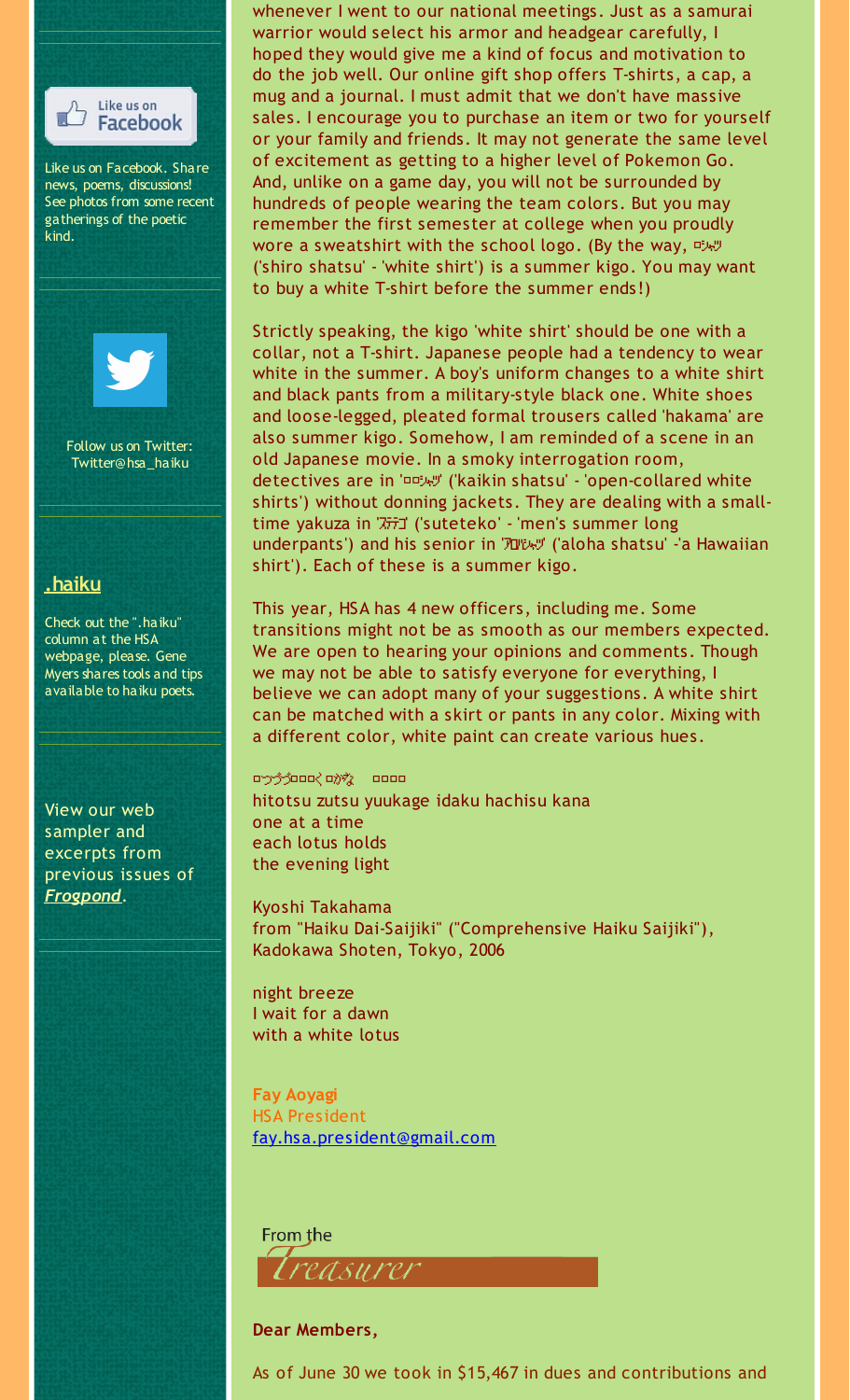

whenever I went to our national meetings. Just as a samurai warrior would select his armor and headgear carefully, I hoped they would give me a kind of focus and motivation to do the job well. Our online gift shop offers T-shirts, a cap, a mug and a journal. I must admit that we don't have massive sales. I encourage you to purchase an item or two for yourself or your family and friends. It may not generate the same level of excitement as getting to a higher level of Pokemon Go. And, unlike on a game day, you will not be surrounded by hundreds of people wearing the team colors. But you may remember the first semester at college when you proudly wore a sweatshirt with the school logo. (By the way, ('shiro shatsu' - 'white shirt') is a summer kigo. You may want to buy a white T-shirt before the summer ends!)

Strictly speaking, the kigo 'white shirt' should be one with a collar, not a T-shirt. Japanese people had a tendency to wear white in the summer. A boy's uniform changes to a white shirt and black pants from a military-style black one. White shoes and loose-legged, pleated formal trousers called 'hakama' are also summer kigo. Somehow, I am reminded of a scene in an old Japanese movie. In a smoky interrogation room, detectives are in 'シャツ' ('kaikin shatsu' - 'open-collared white shirts') without donning jackets. They are dealing with a smalltime yakuza in 'ステテコ' ('suteteko' - 'men's summer long underpants') and his senior in 'アロハシャツ' ('aloha shatsu' -'a Hawaiian shirt'). Each of these is a summer kigo.

This year, HSA has 4 new officers, including me. Some transitions might not be as smooth as our members expected. We are open to hearing your opinions and comments. Though we may not be able to satisfy everyone for everything, I believe we can adopt many of your suggestions. A white shirt can be matched with a skirt or pants in any color. Mixing with a different color, white paint can create various hues.

cryford chy and hitotsu zutsu yuukage idaku hachisu kana one at a time each lotus holds the evening light

Kyoshi Takahama from "Haiku Dai-Saijiki" ("Comprehensive Haiku Saijiki"), Kadokawa Shoten, Tokyo, 2006

night breeze I wait for a dawn with a white lotus

**Fay Aoyagi** HSA President [fay.hsa.president@gmail.com](mailto:fay.hsa.president@gmail.com)

From the rasurer

#### **Dear Members,**

As of June 30 we took in \$15,467 in dues and contributions and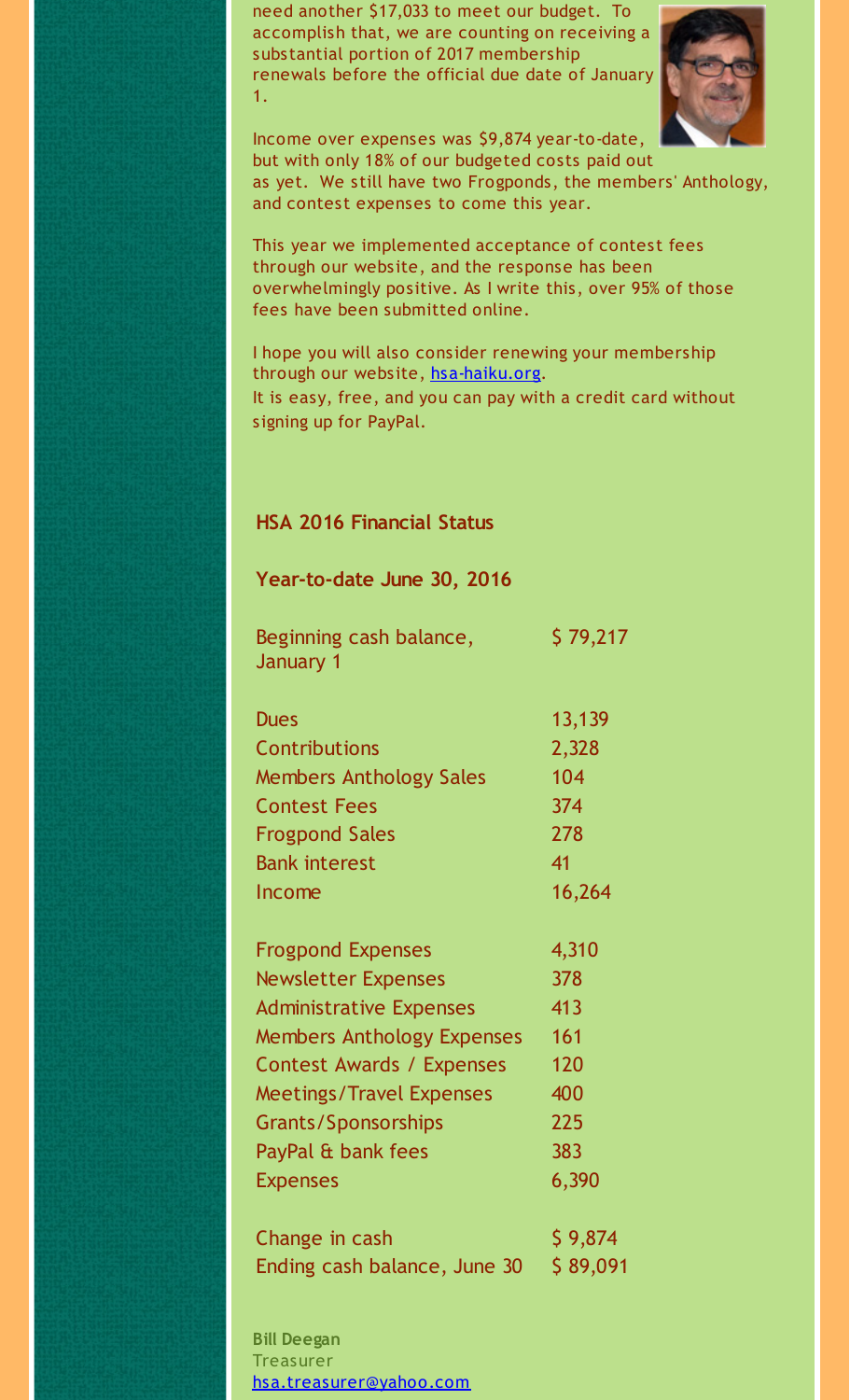need another \$17,033 to meet our budget. To accomplish that, we are counting on receiving a substantial portion of 2017 membership renewals before the official due date of January 1.



Income over expenses was \$9,874 year-to-date, but with only 18% of our budgeted costs paid out as yet. We still have two Frogponds, the members' Anthology, and contest expenses to come this year.

This year we implemented acceptance of contest fees through our website, and the response has been overwhelmingly positive. As I write this, over 95% of those fees have been submitted online.

I hope you will also consider renewing your membership through our website, [hsa-haiku.org](http://r20.rs6.net/tn.jsp?f=0010Xn2wj-w02C43IyIUUseYLWmy1WnKGIcQgaASwsgjb2gwAUARjuJIwCxaISoVO3Dm47LrnlXPj0UPKKOoA4bhLUDPMXHfrRwPDhuzOsje57-jTnkJ-ekyf-CwMUhBXw-Z7p7cOV_XGfoz-Ms7x7HS62vz_ifPtRwYvCMQSPU4vY=&c=&ch=). It is easy, free, and you can pay with a credit card without signing up for PayPal.

#### **HSA 2016 Financial Status**

#### **Year-to-date June 30, 2016**

Beginning cash balance, \$ 79,217 January 1

| <b>Dues</b>                    | 13,139 |
|--------------------------------|--------|
| <b>Contributions</b>           | 2,328  |
| <b>Members Anthology Sales</b> | 104    |
| <b>Contest Fees</b>            | 374    |
| <b>Frogpond Sales</b>          | 278    |
| <b>Bank interest</b>           | 41     |
| Income                         | 16,264 |

| <b>Frogpond Expenses</b>          | 4,310 |
|-----------------------------------|-------|
| <b>Newsletter Expenses</b>        | 378   |
| <b>Administrative Expenses</b>    | 413   |
| <b>Members Anthology Expenses</b> | 161   |
| <b>Contest Awards / Expenses</b>  | 120   |
| <b>Meetings/Travel Expenses</b>   | 400   |
| <b>Grants/Sponsorships</b>        | 225   |
| PayPal & bank fees                | 383   |
| <b>Expenses</b>                   | 6,390 |

Change in cash  $$ 9,874$ Ending cash balance, June  $30 \div 89,091$ 

**Bill Deegan Treasurer** [hsa.treasurer@yahoo.com](mailto:hsa.treasurer@yahoo.com)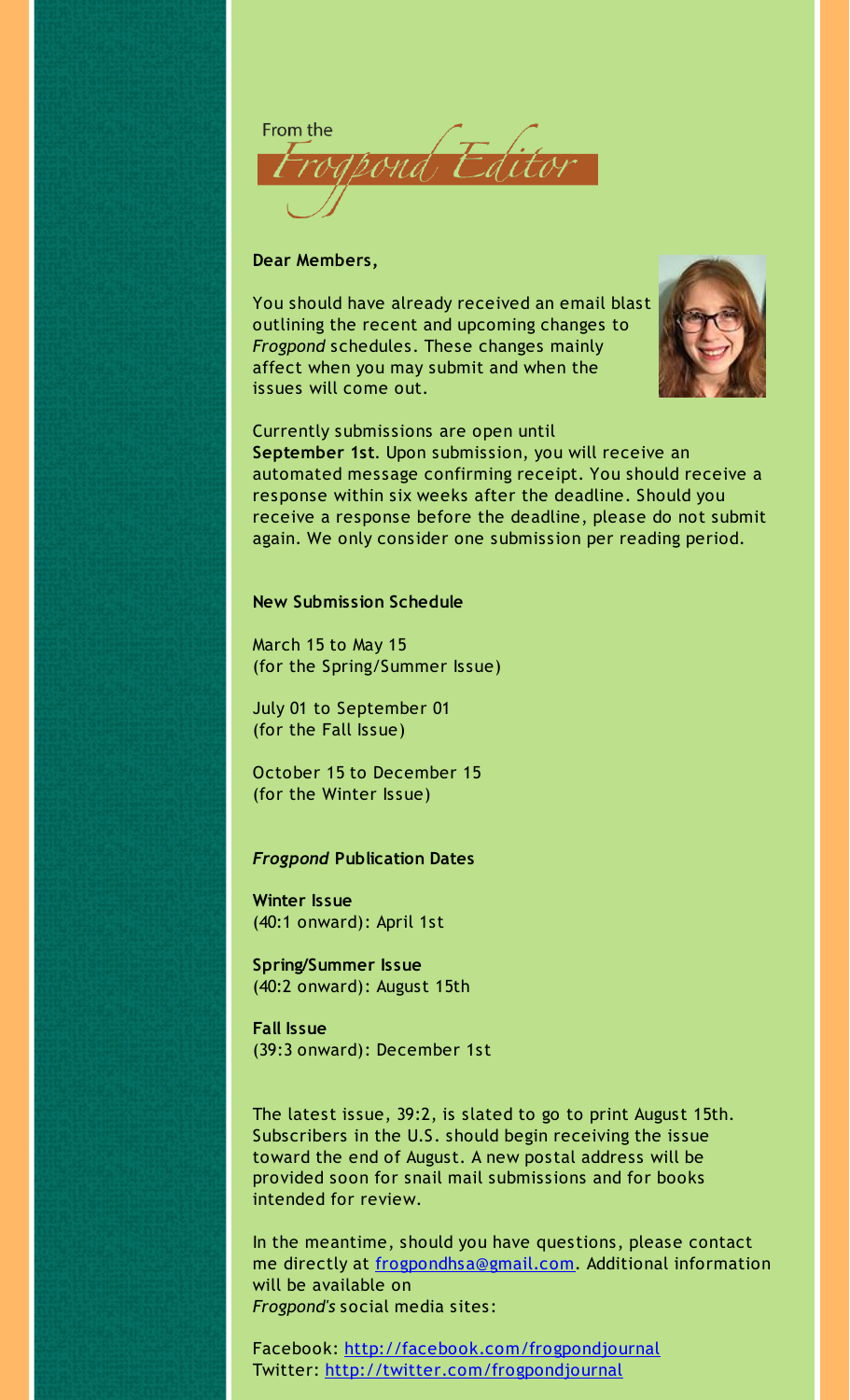From the OM A

#### **Dear Members,**

You should have already received an email blast outlining the recent and upcoming changes to *Frogpond* schedules. These changes mainly affect when you may submit and when the issues will come out.



Currently submissions are open until **September 1st**. Upon submission, you will receive an automated message confirming receipt. You should receive a response within six weeks after the deadline. Should you receive a response before the deadline, please do not submit again. We only consider one submission per reading period.

#### **New Submission Schedule**

March 15 to May 15 (for the Spring/Summer Issue)

July 01 to September 01 (for the Fall Issue)

October 15 to December 15 (for the Winter Issue)

#### *Frogpond* **Publication Dates**

**Winter Issue** (40:1 onward): April 1st

**Spring/Summer Issue** (40:2 onward): August 15th

**Fall Issue** (39:3 onward): December 1st

The latest issue, 39:2, is slated to go to print August 15th. Subscribers in the U.S. should begin receiving the issue toward the end of August. A new postal address will be provided soon for snail mail submissions and for books intended for review.

In the meantime, should you have questions, please contact me directly at [frogpondhsa@gmail.com](mailto:frogpondhsa@gmail.com). Additional information will be available on *Frogpond's* social media sites:

Facebook: [http://facebook.com/frogpondjournal](http://r20.rs6.net/tn.jsp?f=0010Xn2wj-w02C43IyIUUseYLWmy1WnKGIcQgaASwsgjb2gwAUARjuJIwQ3ycDixGb5PkxQ-7jxZ9d7XqlE43GxPkVkgPQLdT-k8F04EXG0kkvd2xFjH8lGwcht1dlE1h36ZOkq3l7i0qhYWQJr8n63MV3CxtTirBqL3lNH2JFASbREPhPTMVTHkqSkl4tH7W-S&c=&ch=) Twitter: [http://twitter.com/frogpondjournal](http://r20.rs6.net/tn.jsp?f=0010Xn2wj-w02C43IyIUUseYLWmy1WnKGIcQgaASwsgjb2gwAUARjuJIwQ3ycDixGb5K6O1dWTkglrjoo3zV2aHsn86by9fkL3Ba_ylr4MlNIrW0h6IsfUGDx08Z_iI8_gVghpy_fLVT3krLVOlfF9qmHSZUhz7TGErkes_cZgJpLC--v_BZ1OtIU1D8epQH0l4&c=&ch=)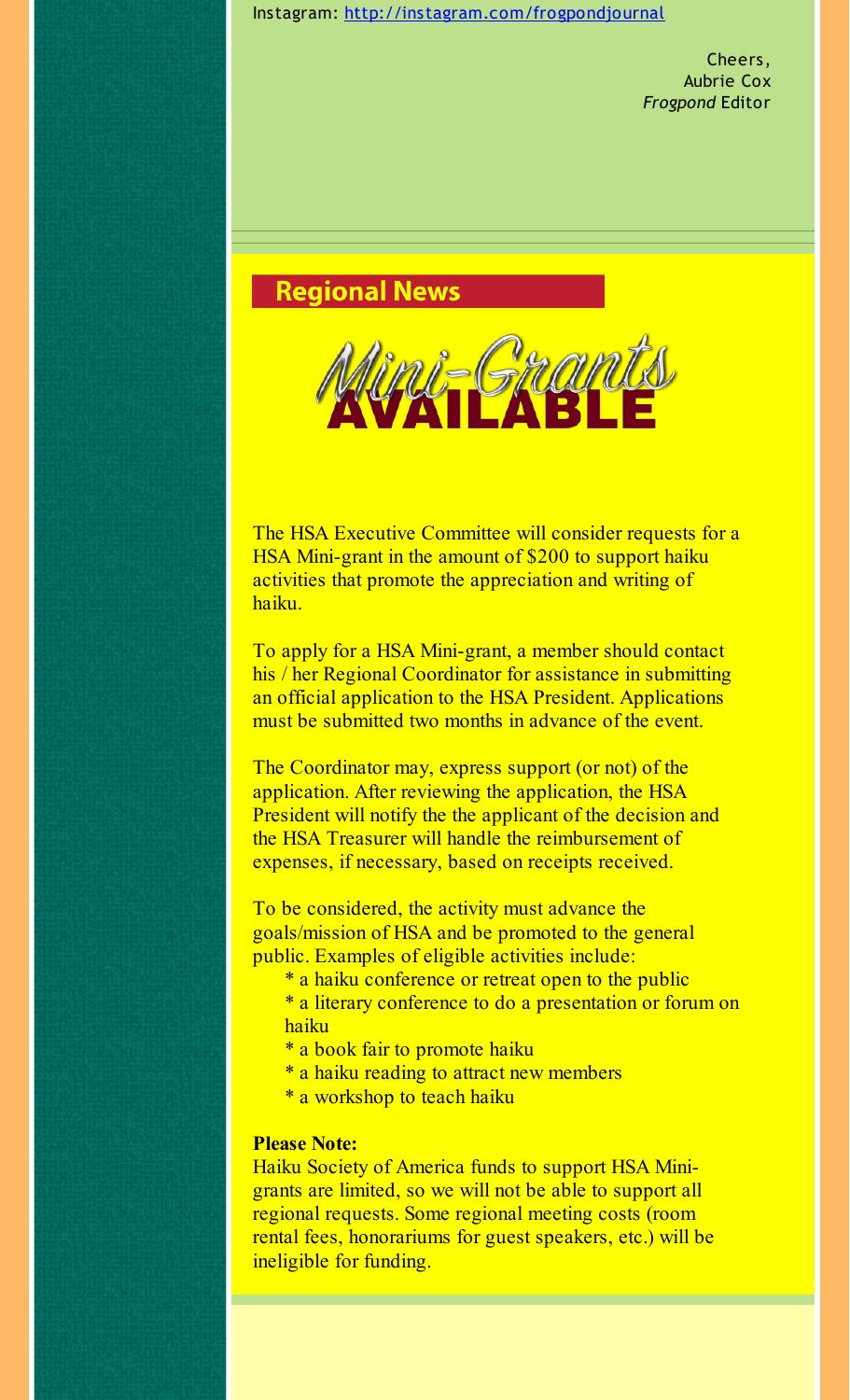Instagram: [http://instagram.com/frogpondjournal](http://r20.rs6.net/tn.jsp?f=0010Xn2wj-w02C43IyIUUseYLWmy1WnKGIcQgaASwsgjb2gwAUARjuJIwQ3ycDixGb5B9arwf6RBmAkpcH9Y_Gd3uRI4cPYO0frhOGLOycszdO9l2h8MKuhAQvOI4ogTWGH_GFFrvRD8rA9oeVK2cbOFeM1FQlYggqR8N06AzU-lpe7KlE0TdYyp_VJagKD7-Zs&c=&ch=)

Cheers, Aubrie Cox *Frogpond* Editor

**Regional News** 



The HSA Executive Committee will consider requests for a HSA Mini-grant in the amount of \$200 to support haiku activities that promote the appreciation and writing of haiku.

To apply for a HSA Mini-grant, a member should contact his / her Regional Coordinator for assistance in submitting an official application to the HSA President. Applications must be submitted two months in advance of the event.

The Coordinator may, express support (or not) of the application. After reviewing the application, the HSA President will notify the the applicant of the decision and the HSA Treasurer will handle the reimbursement of expenses, if necessary, based on receipts received.

To be considered, the activity must advance the goals/mission of HSA and be promoted to the general public. Examples of eligible activities include:

- \* a haiku conference or retreat open to the public
- \* a literary conference to do a presentation or forum on haiku
- \* a book fair to promote haiku
- \* a haiku reading to attract new members
- \* a workshop to teach haiku

#### **Please Note:**

Haiku Society of America funds to support HSA Minigrants are limited, so we will not be able to support all regional requests. Some regional meeting costs (room rental fees, honorariums for guest speakers, etc.) will be ineligible for funding.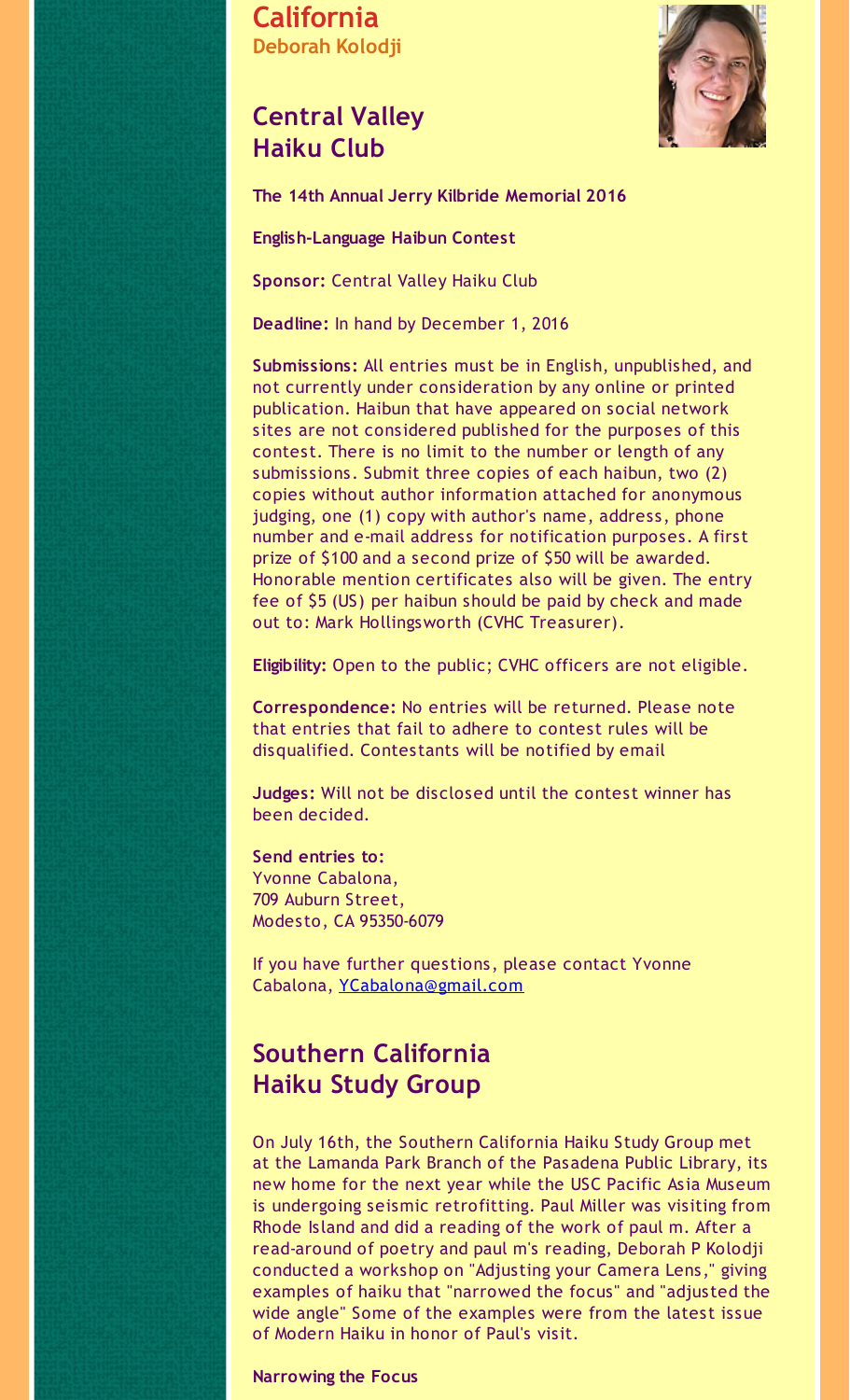**California Deborah Kolodji**

### **Central Valley Haiku Club**



**The 14th Annual Jerry Kilbride Memorial 2016**

**English-Language Haibun Contest**

**Sponsor:** Central Valley Haiku Club

**Deadline:** In hand by December 1, 2016

**Submissions:** All entries must be in English, unpublished, and not currently under consideration by any online or printed publication. Haibun that have appeared on social network sites are not considered published for the purposes of this contest. There is no limit to the number or length of any submissions. Submit three copies of each haibun, two (2) copies without author information attached for anonymous judging, one (1) copy with author's name, address, phone number and e-mail address for notification purposes. A first prize of \$100 and a second prize of \$50 will be awarded. Honorable mention certificates also will be given. The entry fee of \$5 (US) per haibun should be paid by check and made out to: Mark Hollingsworth (CVHC Treasurer).

**Eligibility:** Open to the public; CVHC officers are not eligible.

**Correspondence:** No entries will be returned. Please note that entries that fail to adhere to contest rules will be disqualified. Contestants will be notified by email

**Judges:** Will not be disclosed until the contest winner has been decided.

**Send entries to:** Yvonne Cabalona, 709 Auburn Street, Modesto, CA 95350-6079

If you have further questions, please contact Yvonne Cabalona, [YCabalona@gmail.com](mailto:YCabalona@gmail.com)

## **Southern California Haiku Study Group**

On July 16th, the Southern California Haiku Study Group met at the Lamanda Park Branch of the Pasadena Public Library, its new home for the next year while the USC Pacific Asia Museum is undergoing seismic retrofitting. Paul Miller was visiting from Rhode Island and did a reading of the work of paul m. After a read-around of poetry and paul m's reading, Deborah P Kolodji conducted a workshop on "Adjusting your Camera Lens," giving examples of haiku that "narrowed the focus" and "adjusted the wide angle" Some of the examples were from the latest issue of Modern Haiku in honor of Paul's visit.

**Narrowing the Focus**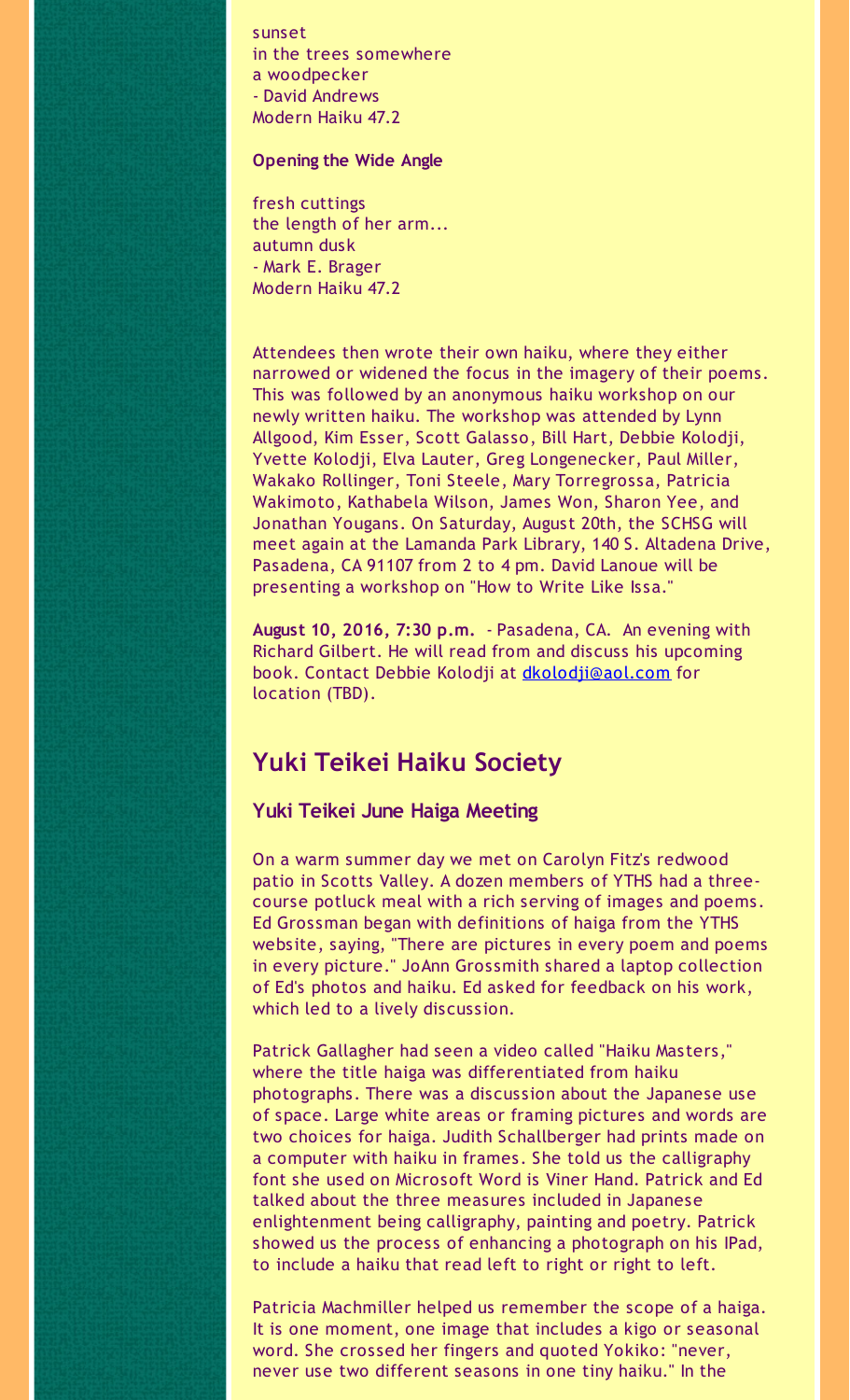sunset in the trees somewhere a woodpecker - David Andrews Modern Haiku 47.2

#### **Opening the Wide Angle**

fresh cuttings the length of her arm... autumn dusk - Mark E. Brager Modern Haiku 47.2

Attendees then wrote their own haiku, where they either narrowed or widened the focus in the imagery of their poems. This was followed by an anonymous haiku workshop on our newly written haiku. The workshop was attended by Lynn Allgood, Kim Esser, Scott Galasso, Bill Hart, Debbie Kolodji, Yvette Kolodji, Elva Lauter, Greg Longenecker, Paul Miller, Wakako Rollinger, Toni Steele, Mary Torregrossa, Patricia Wakimoto, Kathabela Wilson, James Won, Sharon Yee, and Jonathan Yougans. On Saturday, August 20th, the SCHSG will meet again at the Lamanda Park Library, 140 S. Altadena Drive, Pasadena, CA 91107 from 2 to 4 pm. David Lanoue will be presenting a workshop on "How to Write Like Issa."

**August 10, 2016, 7:30 p.m.** - Pasadena, CA. An evening with Richard Gilbert. He will read from and discuss his upcoming book. Contact Debbie Kolodji at [dkolodji@aol.com](mailto:dkolodji@aol.com) for location (TBD).

### **Yuki Teikei Haiku Society**

#### **Yuki Teikei June Haiga Meeting**

On a warm summer day we met on Carolyn Fitz's redwood patio in Scotts Valley. A dozen members of YTHS had a threecourse potluck meal with a rich serving of images and poems. Ed Grossman began with definitions of haiga from the YTHS website, saying, "There are pictures in every poem and poems in every picture." JoAnn Grossmith shared a laptop collection of Ed's photos and haiku. Ed asked for feedback on his work, which led to a lively discussion.

Patrick Gallagher had seen a video called "Haiku Masters," where the title haiga was differentiated from haiku photographs. There was a discussion about the Japanese use of space. Large white areas or framing pictures and words are two choices for haiga. Judith Schallberger had prints made on a computer with haiku in frames. She told us the calligraphy font she used on Microsoft Word is Viner Hand. Patrick and Ed talked about the three measures included in Japanese enlightenment being calligraphy, painting and poetry. Patrick showed us the process of enhancing a photograph on his IPad, to include a haiku that read left to right or right to left.

Patricia Machmiller helped us remember the scope of a haiga. It is one moment, one image that includes a kigo or seasonal word. She crossed her fingers and quoted Yokiko: "never, never use two different seasons in one tiny haiku." In the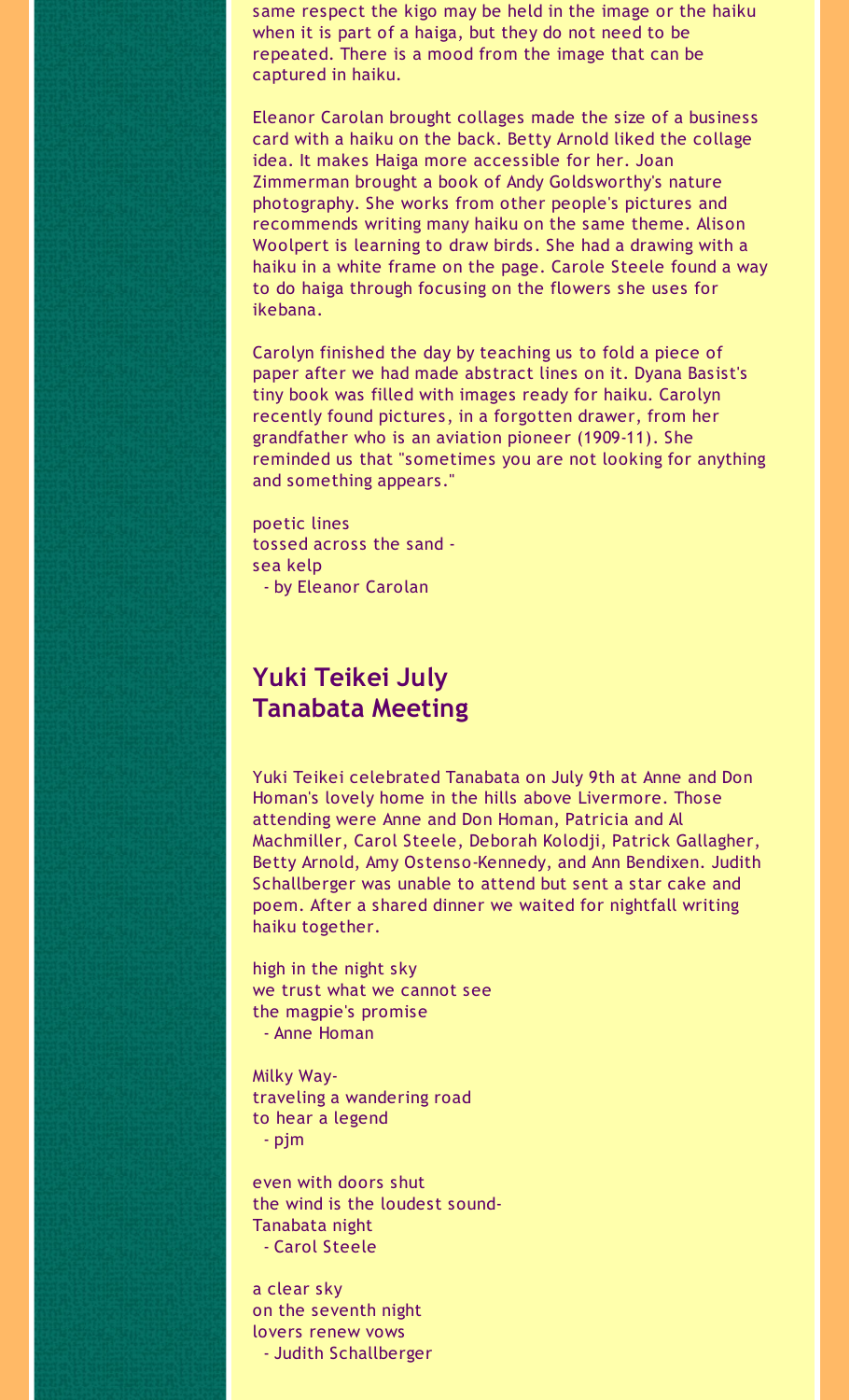same respect the kigo may be held in the image or the haiku when it is part of a haiga, but they do not need to be repeated. There is a mood from the image that can be captured in haiku.

Eleanor Carolan brought collages made the size of a business card with a haiku on the back. Betty Arnold liked the collage idea. It makes Haiga more accessible for her. Joan Zimmerman brought a book of Andy Goldsworthy's nature photography. She works from other people's pictures and recommends writing many haiku on the same theme. Alison Woolpert is learning to draw birds. She had a drawing with a haiku in a white frame on the page. Carole Steele found a way to do haiga through focusing on the flowers she uses for ikebana.

Carolyn finished the day by teaching us to fold a piece of paper after we had made abstract lines on it. Dyana Basist's tiny book was filled with images ready for haiku. Carolyn recently found pictures, in a forgotten drawer, from her grandfather who is an aviation pioneer (1909-11). She reminded us that "sometimes you are not looking for anything and something appears."

poetic lines tossed across the sand sea kelp - by Eleanor Carolan

### **Yuki Teikei July Tanabata Meeting**

Yuki Teikei celebrated Tanabata on July 9th at Anne and Don Homan's lovely home in the hills above Livermore. Those attending were Anne and Don Homan, Patricia and Al Machmiller, Carol Steele, Deborah Kolodji, Patrick Gallagher, Betty Arnold, Amy Ostenso-Kennedy, and Ann Bendixen. Judith Schallberger was unable to attend but sent a star cake and poem. After a shared dinner we waited for nightfall writing haiku together.

high in the night sky we trust what we cannot see the magpie's promise - Anne Homan

Milky Waytraveling a wandering road to hear a legend - pjm

even with doors shut the wind is the loudest sound-Tanabata night - Carol Steele

a clear sky on the seventh night lovers renew vows - Judith Schallberger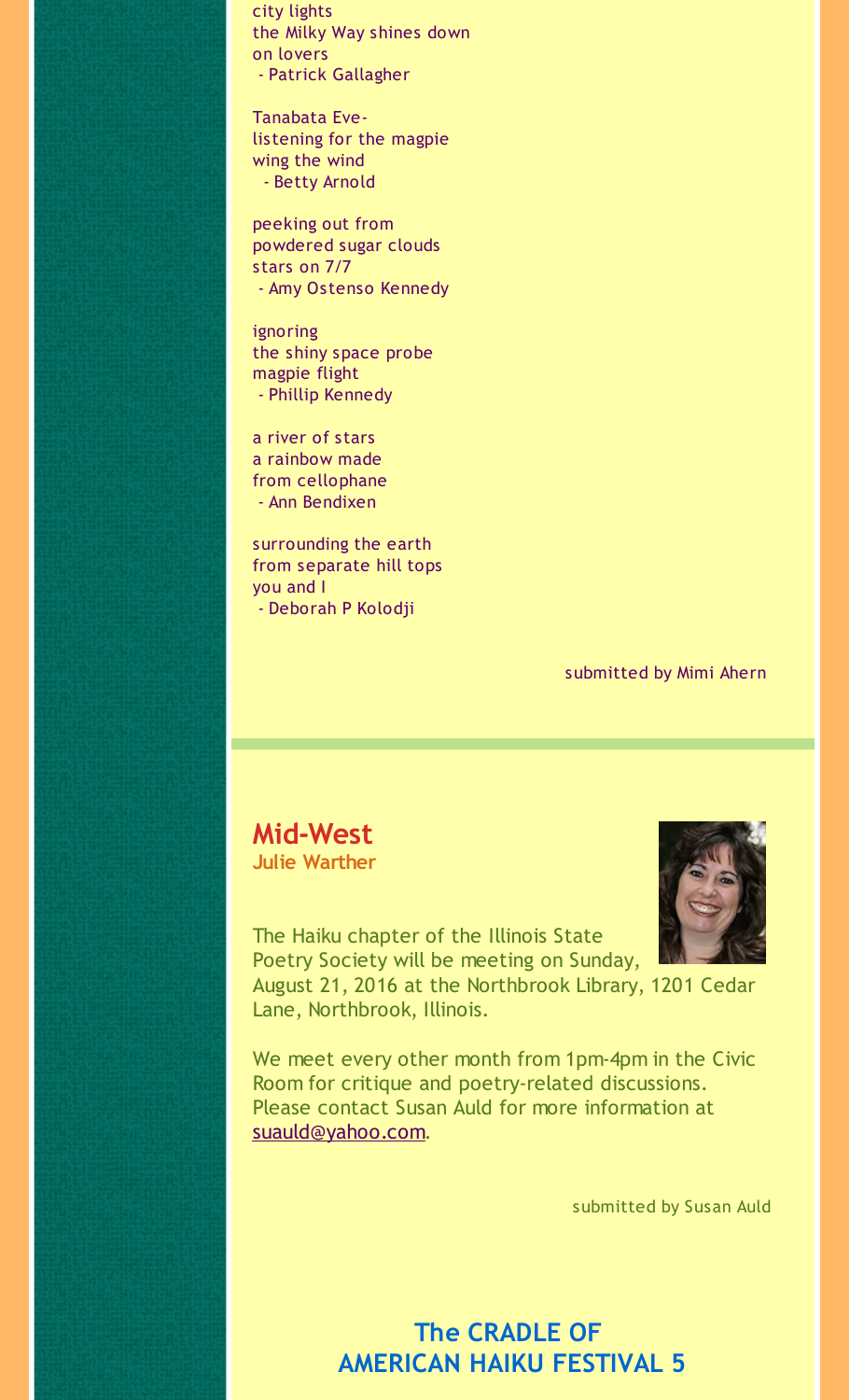city lights the Milky Way shines down on lovers - Patrick Gallagher

Tanabata Evelistening for the magpie wing the wind - Betty Arnold

peeking out from powdered sugar clouds stars on 7/7 - Amy Ostenso Kennedy

ignoring the shiny space probe magpie flight - Phillip Kennedy

a river of stars a rainbow made from cellophane - Ann Bendixen

surrounding the earth from separate hill tops you and I - Deborah P Kolodji

submitted by Mimi Ahern

# **Mid-West**

**Julie Warther**



The Haiku chapter of the Illinois State Poetry Society will be meeting on Sunday, August 21, 2016 at the Northbrook Library, 1201 Cedar Lane, Northbrook, Illinois.

We meet every other month from 1pm-4pm in the Civic Room for critique and poetry-related discussions. Please contact Susan Auld for more information at [suauld@yahoo.com](mailto:suauld@yahoo.com).

submitted by Susan Auld

**The CRADLE OF AMERICAN HAIKU FESTIVAL 5**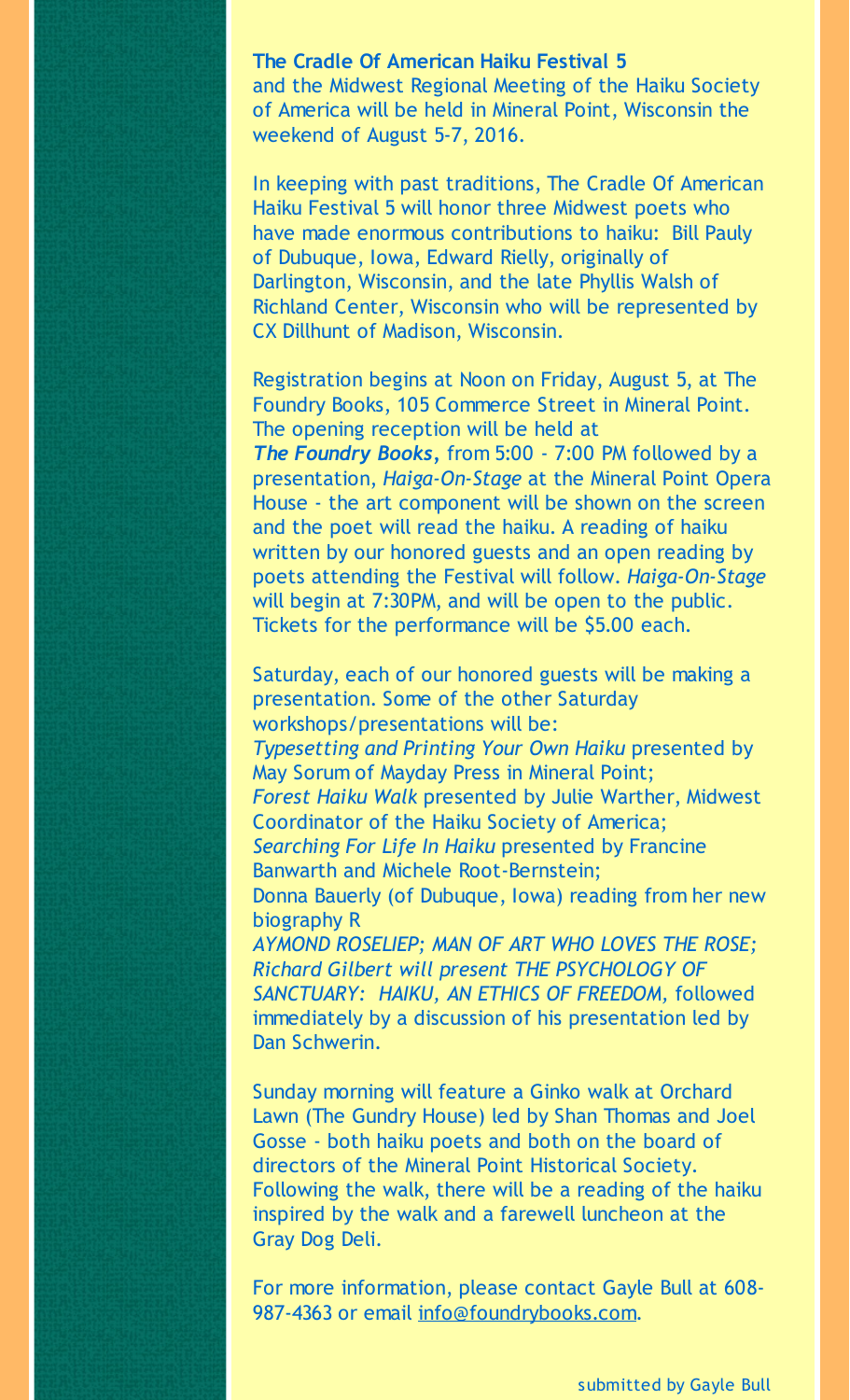**The Cradle Of American Haiku Festival 5** and the Midwest Regional Meeting of the Haiku Society of America will be held in Mineral Point, Wisconsin the weekend of August 5-7, 2016.

In keeping with past traditions, The Cradle Of American Haiku Festival 5 will honor three Midwest poets who have made enormous contributions to haiku: Bill Pauly of Dubuque, Iowa, Edward Rielly, originally of Darlington, Wisconsin, and the late Phyllis Walsh of Richland Center, Wisconsin who will be represented by CX Dillhunt of Madison, Wisconsin.

Registration begins at Noon on Friday, August 5, at The Foundry Books, 105 Commerce Street in Mineral Point. The opening reception will be held at

*The Foundry Books,* from 5:00 - 7:00 PM followed by a presentation, *Haiga-On-Stage* at the Mineral Point Opera House - the art component will be shown on the screen and the poet will read the haiku. A reading of haiku written by our honored guests and an open reading by poets attending the Festival will follow. *Haiga-On-Stage* will begin at 7:30PM, and will be open to the public. Tickets for the performance will be \$5.00 each.

Saturday, each of our honored guests will be making a presentation. Some of the other Saturday workshops/presentations will be: *Typesetting and Printing Your Own Haiku* presented by May Sorum of Mayday Press in Mineral Point; *Forest Haiku Walk* presented by Julie Warther, Midwest Coordinator of the Haiku Society of America; *Searching For Life In Haiku* presented by Francine Banwarth and Michele Root-Bernstein; Donna Bauerly (of Dubuque, Iowa) reading from her new biography R *AYMOND ROSELIEP; MAN OF ART WHO LOVES THE ROSE; Richard Gilbert will present THE PSYCHOLOGY OF SANCTUARY: HAIKU, AN ETHICS OF FREEDOM,* followed immediately by a discussion of his presentation led by Dan Schwerin.

Sunday morning will feature a Ginko walk at Orchard Lawn (The Gundry House) led by Shan Thomas and Joel Gosse - both haiku poets and both on the board of directors of the Mineral Point Historical Society. Following the walk, there will be a reading of the haiku inspired by the walk and a farewell luncheon at the Gray Dog Deli.

For more information, please contact Gayle Bull at 608- 987-4363 or email [info@foundrybooks.com](mailto:info@foundrybooks.com).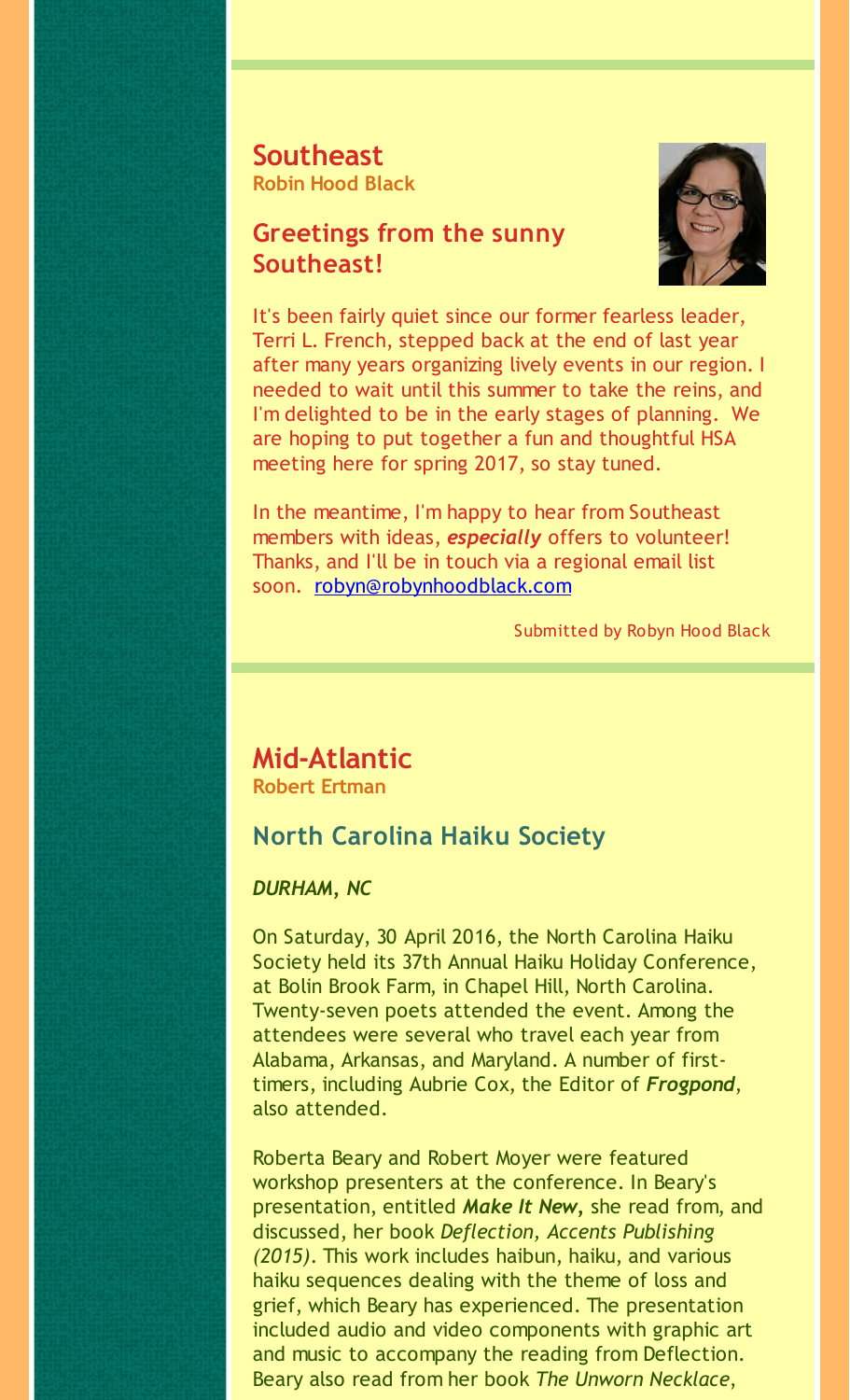**Southeast Robin Hood Black**

### **Greetings from the sunny Southeast!**



It's been fairly quiet since our former fearless leader, Terri L. French, stepped back at the end of last year after many years organizing lively events in our region. I needed to wait until this summer to take the reins, and I'm delighted to be in the early stages of planning. We are hoping to put together a fun and thoughtful HSA meeting here for spring 2017, so stay tuned.

In the meantime, I'm happy to hear from Southeast members with ideas, *especially* offers to volunteer! Thanks, and I'll be in touch via a regional email list soon. [robyn@robynhoodblack.com](mailto:robyn@robynhoodblack.com)

Submitted by Robyn Hood Black

## **Mid-Atlantic**

**Robert Ertman**

### **North Carolina Haiku Society**

### *DURHAM, NC*

On Saturday, 30 April 2016, the North Carolina Haiku Society held its 37th Annual Haiku Holiday Conference, at Bolin Brook Farm, in Chapel Hill, North Carolina. Twenty-seven poets attended the event. Among the attendees were several who travel each year from Alabama, Arkansas, and Maryland. A number of firsttimers, including Aubrie Cox, the Editor of *Frogpond*, also attended.

Roberta Beary and Robert Moyer were featured workshop presenters at the conference. In Beary's presentation, entitled *Make It New,* she read from, and discussed, her book *Deflection, Accents Publishing (2015)*. This work includes haibun, haiku, and various haiku sequences dealing with the theme of loss and grief, which Beary has experienced. The presentation included audio and video components with graphic art and music to accompany the reading from Deflection. Beary also read from her book *The Unworn Necklace*,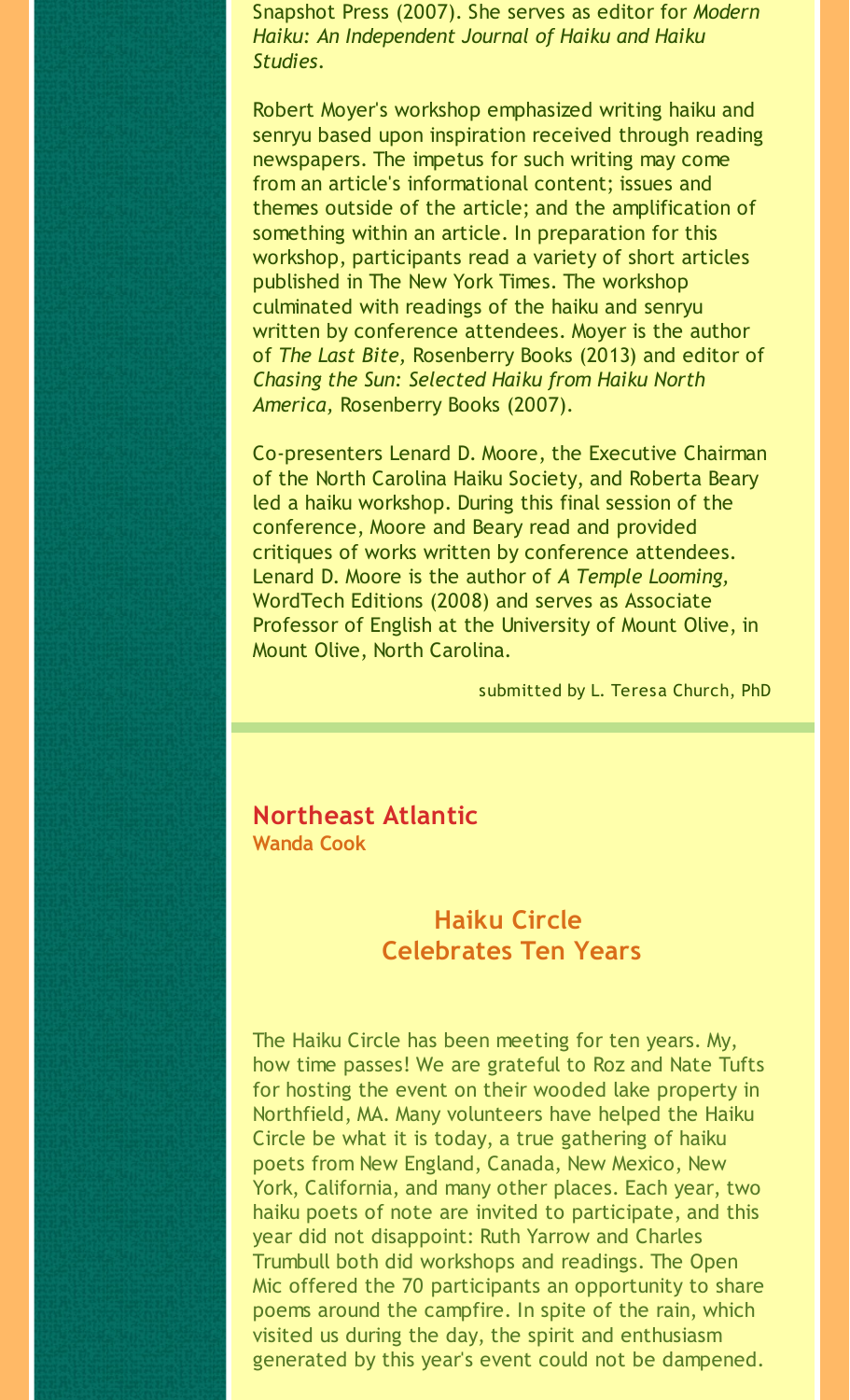Snapshot Press (2007). She serves as editor for *Modern Haiku: An Independent Journal of Haiku and Haiku Studies*.

Robert Moyer's workshop emphasized writing haiku and senryu based upon inspiration received through reading newspapers. The impetus for such writing may come from an article's informational content; issues and themes outside of the article; and the amplification of something within an article. In preparation for this workshop, participants read a variety of short articles published in The New York Times. The workshop culminated with readings of the haiku and senryu written by conference attendees. Moyer is the author of *The Last Bite,* Rosenberry Books (2013) and editor of *Chasing the Sun: Selected Haiku from Haiku North America,* Rosenberry Books (2007).

Co-presenters Lenard D. Moore, the Executive Chairman of the North Carolina Haiku Society, and Roberta Beary led a haiku workshop. During this final session of the conference, Moore and Beary read and provided critiques of works written by conference attendees. Lenard D. Moore is the author of *A Temple Looming,* WordTech Editions (2008) and serves as Associate Professor of English at the University of Mount Olive, in Mount Olive, North Carolina.

submitted by L. Teresa Church, PhD

## **Northeast Atlantic**

**Wanda Cook**

### **Haiku Circle Celebrates Ten Years**

The Haiku Circle has been meeting for ten years. My, how time passes! We are grateful to Roz and Nate Tufts for hosting the event on their wooded lake property in Northfield, MA. Many volunteers have helped the Haiku Circle be what it is today, a true gathering of haiku poets from New England, Canada, New Mexico, New York, California, and many other places. Each year, two haiku poets of note are invited to participate, and this year did not disappoint: Ruth Yarrow and Charles Trumbull both did workshops and readings. The Open Mic offered the 70 participants an opportunity to share poems around the campfire. In spite of the rain, which visited us during the day, the spirit and enthusiasm generated by this year's event could not be dampened.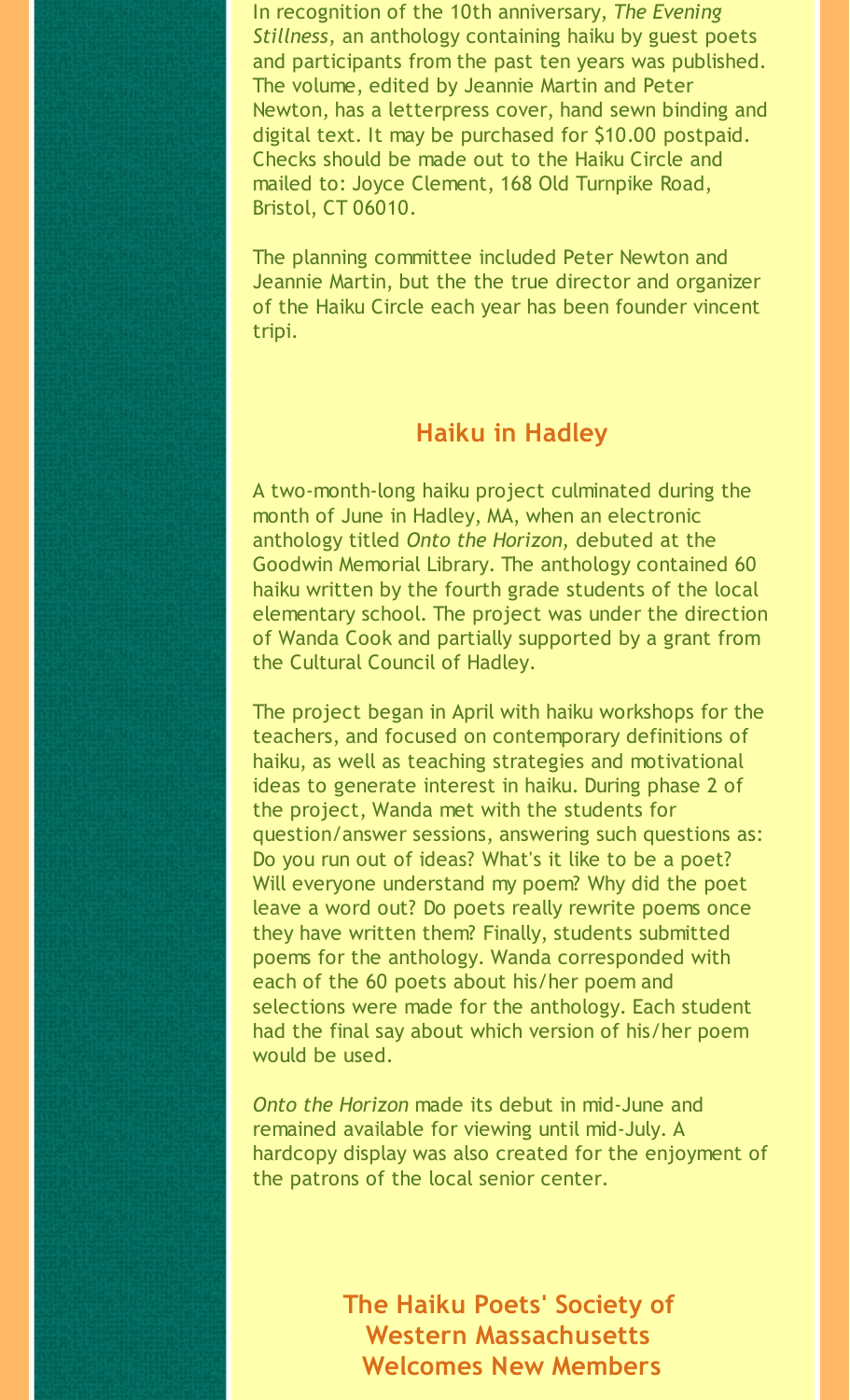In recognition of the 10th anniversary, *The Evening Stillness,* an anthology containing haiku by guest poets and participants from the past ten years was published. The volume, edited by Jeannie Martin and Peter Newton, has a letterpress cover, hand sewn binding and digital text. It may be purchased for \$10.00 postpaid. Checks should be made out to the Haiku Circle and mailed to: Joyce Clement, 168 Old Turnpike Road, Bristol, CT 06010.

The planning committee included Peter Newton and Jeannie Martin, but the the true director and organizer of the Haiku Circle each year has been founder vincent tripi.

### **Haiku in Hadley**

A two-month-long haiku project culminated during the month of June in Hadley, MA, when an electronic anthology titled *Onto the Horizon,* debuted at the Goodwin Memorial Library. The anthology contained 60 haiku written by the fourth grade students of the local elementary school. The project was under the direction of Wanda Cook and partially supported by a grant from the Cultural Council of Hadley.

The project began in April with haiku workshops for the teachers, and focused on contemporary definitions of haiku, as well as teaching strategies and motivational ideas to generate interest in haiku. During phase 2 of the project, Wanda met with the students for question/answer sessions, answering such questions as: Do you run out of ideas? What's it like to be a poet? Will everyone understand my poem? Why did the poet leave a word out? Do poets really rewrite poems once they have written them? Finally, students submitted poems for the anthology. Wanda corresponded with each of the 60 poets about his/her poem and selections were made for the anthology. Each student had the final say about which version of his/her poem would be used.

*Onto the Horizon* made its debut in mid-June and remained available for viewing until mid-July. A hardcopy display was also created for the enjoyment of the patrons of the local senior center.

> **The Haiku Poets' Society of Western Massachusetts Welcomes New Members**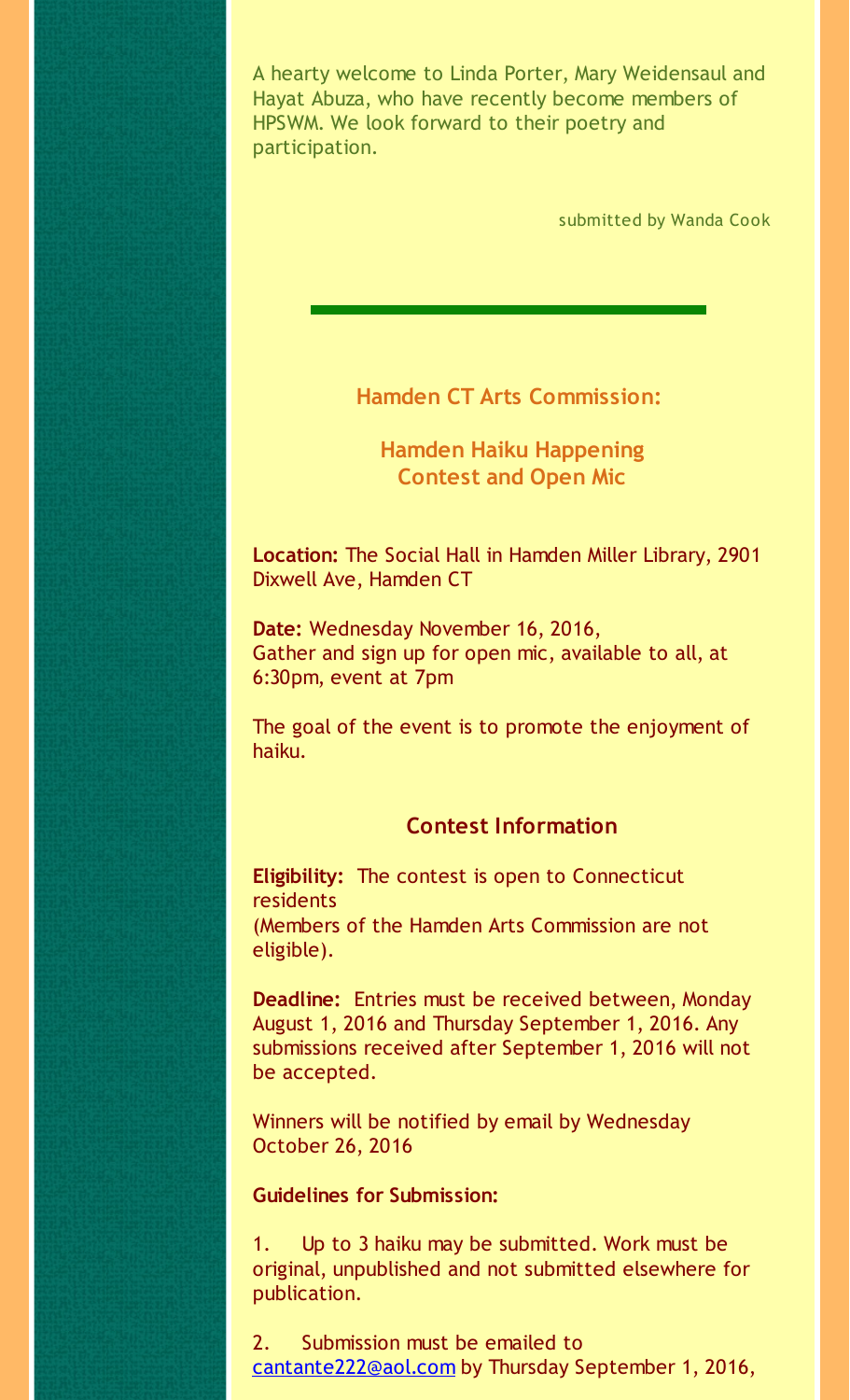A hearty welcome to Linda Porter, Mary Weidensaul and Hayat Abuza, who have recently become members of HPSWM. We look forward to their poetry and participation.

submitted by Wanda Cook

**Hamden CT Arts Commission:**

**Hamden Haiku Happening Contest and Open Mic**

**Location:** The Social Hall in Hamden Miller Library, 2901 Dixwell Ave, Hamden CT

**Date:** Wednesday November 16, 2016, Gather and sign up for open mic, available to all, at 6:30pm, event at 7pm

The goal of the event is to promote the enjoyment of haiku.

### **Contest Information**

**Eligibility:** The contest is open to Connecticut residents (Members of the Hamden Arts Commission are not eligible).

**Deadline:** Entries must be received between, Monday August 1, 2016 and Thursday September 1, 2016. Any submissions received after September 1, 2016 will not be accepted.

Winners will be notified by email by Wednesday October 26, 2016

### **Guidelines for Submission:**

1. Up to 3 haiku may be submitted. Work must be original, unpublished and not submitted elsewhere for publication.

2. Submission must be emailed to [cantante222@aol.com](mailto:cantante222@aol.com) by Thursday September 1, 2016,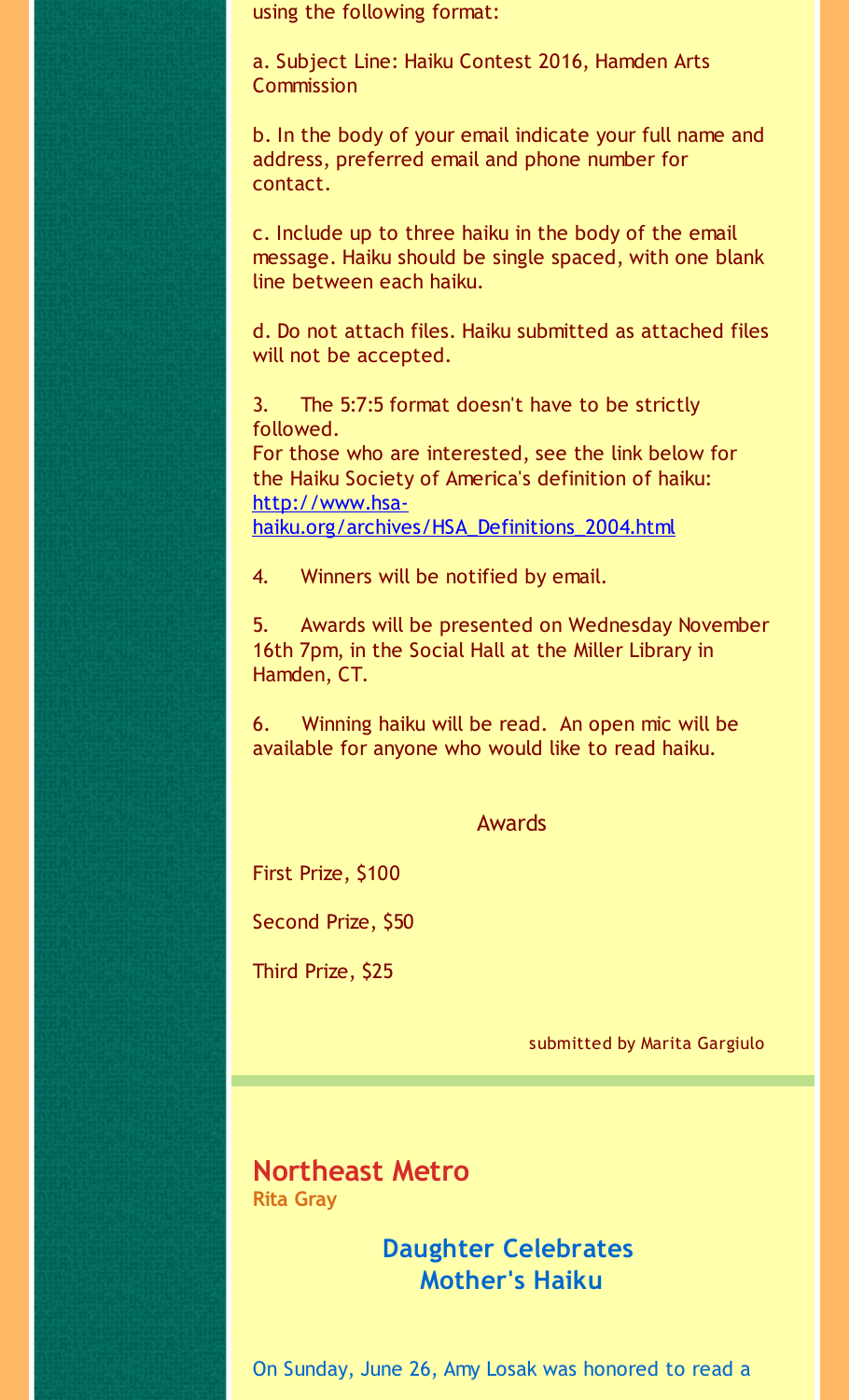using the following format:

a. Subject Line: Haiku Contest 2016, Hamden Arts **Commission** 

b. In the body of your email indicate your full name and address, preferred email and phone number for contact.

c. Include up to three haiku in the body of the email message. Haiku should be single spaced, with one blank line between each haiku.

d. Do not attach files. Haiku submitted as attached files will not be accepted.

3. The 5:7:5 format doesn't have to be strictly followed. For those who are interested, see the link below for the Haiku Society of America's definition of haiku: http://www.hsa[haiku.org/archives/HSA\\_Definitions\\_2004.html](http://r20.rs6.net/tn.jsp?f=0010Xn2wj-w02C43IyIUUseYLWmy1WnKGIcQgaASwsgjb2gwAUARjuJI_j0lIAI74FSMB1d3158-L5g6_SvTtPNYbK1nc7OZJB7D5xZTuYaGVzb6aeRIc-3ygOrx9Nx8f0EPCfDJeraUTt6ERY-KE37iRHAee0wh9F5NMl0cSHbEhO8Dr_yLriYdY1HrJS8yxDx5W0iaqZub4hz1rZQ4IwjhbGAfj3sd_ac&c=&ch=)

4. Winners will be notified by email.

5. Awards will be presented on Wednesday November 16th 7pm, in the Social Hall at the Miller Library in Hamden, CT.

6. Winning haiku will be read. An open mic will be available for anyone who would like to read haiku.

#### Awards

First Prize, \$100

Second Prize, \$50

Third Prize, \$25

submitted by Marita Gargiulo

### **Northeast Metro Rita Gray**

### **Daughter Celebrates Mother's Haiku**

On Sunday, June 26, Amy Losak was honored to read a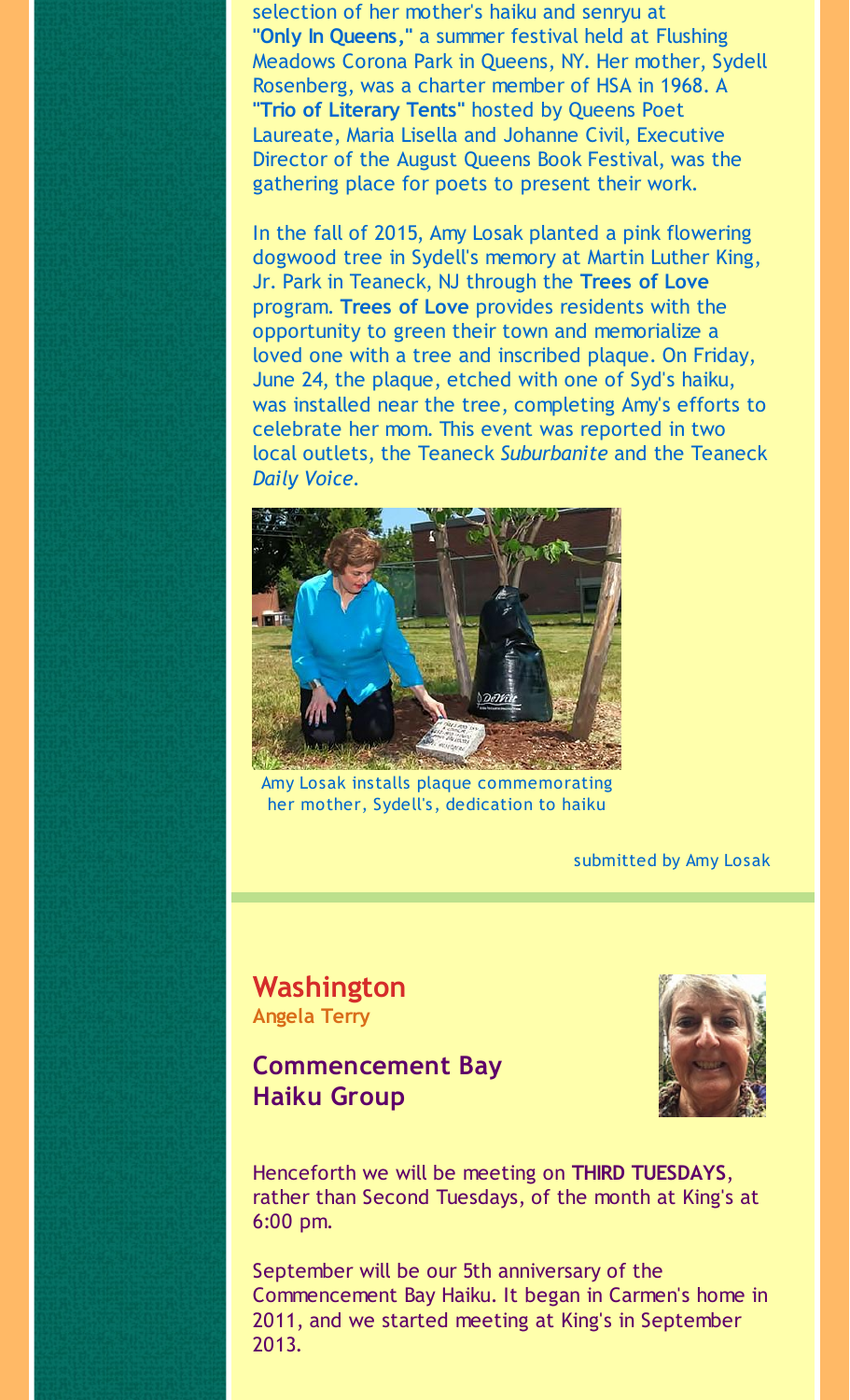selection of her mother's haiku and senryu at **"Only In Queens,"** a summer festival held at Flushing Meadows Corona Park in Queens, NY. Her mother, Sydell Rosenberg, was a charter member of HSA in 1968. A **"Trio of Literary Tents"** hosted by Queens Poet Laureate, Maria Lisella and Johanne Civil, Executive Director of the August Queens Book Festival, was the gathering place for poets to present their work.

In the fall of 2015, Amy Losak planted a pink flowering dogwood tree in Sydell's memory at Martin Luther King, Jr. Park in Teaneck, NJ through the **Trees of Love** program. **Trees of Love** provides residents with the opportunity to green their town and memorialize a loved one with a tree and inscribed plaque. On Friday, June 24, the plaque, etched with one of Syd's haiku, was installed near the tree, completing Amy's efforts to celebrate her mom. This event was reported in two local outlets, the Teaneck *Suburbanite* and the Teaneck *Daily Voice.*



Amy Losak installs plaque commemorating her mother, Sydell's, dedication to haiku

submitted by Amy Losak

### **Washington Angela Terry**

### **Commencement Bay Haiku Group**



Henceforth we will be meeting on **THIRD TUESDAYS**, rather than Second Tuesdays, of the month at King's at 6:00 pm.

September will be our 5th anniversary of the Commencement Bay Haiku. It began in Carmen's home in 2011, and we started meeting at King's in September 2013.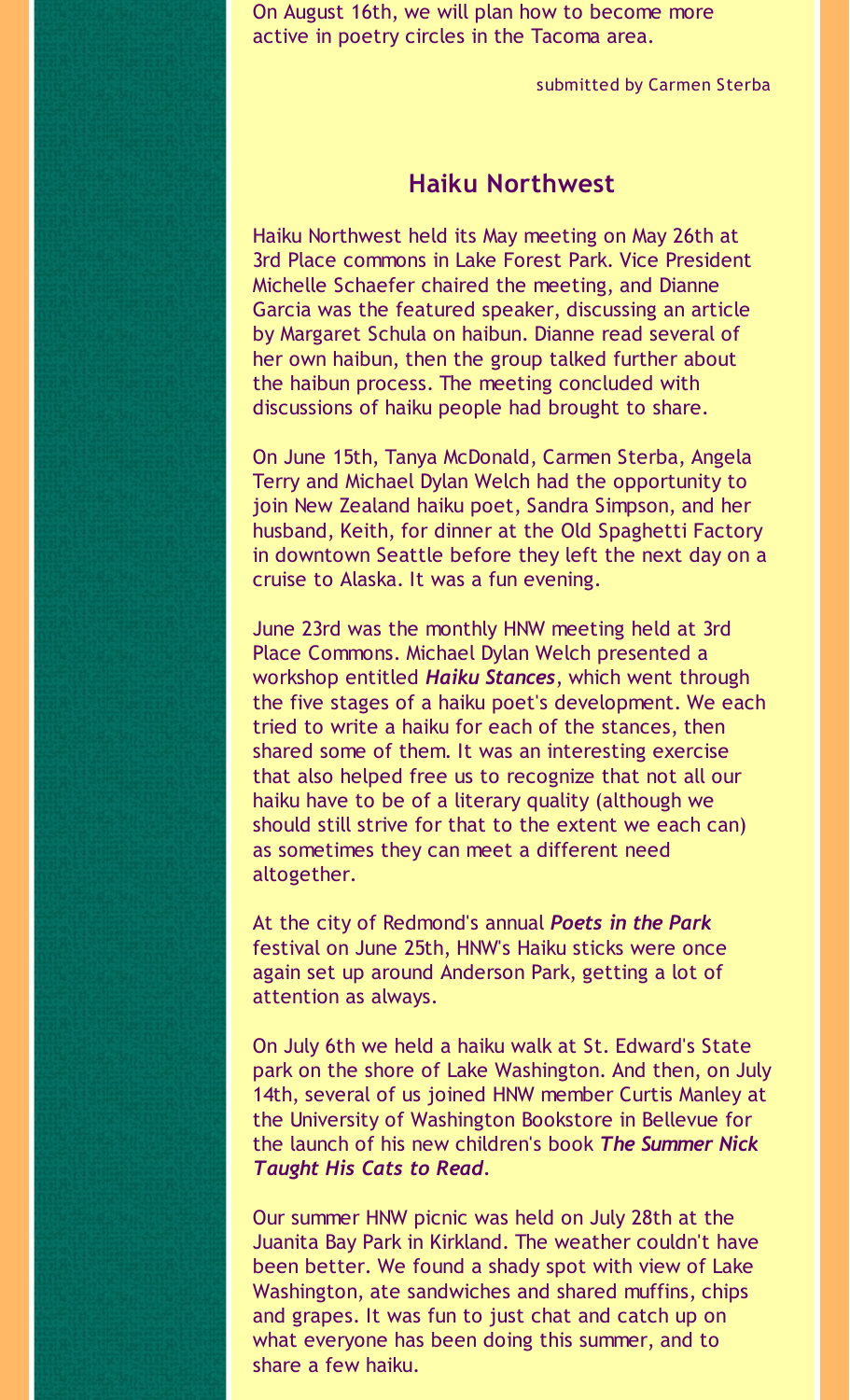On August 16th, we will plan how to become more active in poetry circles in the Tacoma area.

submitted by Carmen Sterba

### **Haiku Northwest**

Haiku Northwest held its May meeting on May 26th at 3rd Place commons in Lake Forest Park. Vice President Michelle Schaefer chaired the meeting, and Dianne Garcia was the featured speaker, discussing an article by Margaret Schula on haibun. Dianne read several of her own haibun, then the group talked further about the haibun process. The meeting concluded with discussions of haiku people had brought to share.

On June 15th, Tanya McDonald, Carmen Sterba, Angela Terry and Michael Dylan Welch had the opportunity to join New Zealand haiku poet, Sandra Simpson, and her husband, Keith, for dinner at the Old Spaghetti Factory in downtown Seattle before they left the next day on a cruise to Alaska. It was a fun evening.

June 23rd was the monthly HNW meeting held at 3rd Place Commons. Michael Dylan Welch presented a workshop entitled *Haiku Stances*, which went through the five stages of a haiku poet's development. We each tried to write a haiku for each of the stances, then shared some of them. It was an interesting exercise that also helped free us to recognize that not all our haiku have to be of a literary quality (although we should still strive for that to the extent we each can) as sometimes they can meet a different need altogether.

At the city of Redmond's annual *Poets in the Park* festival on June 25th, HNW's Haiku sticks were once again set up around Anderson Park, getting a lot of attention as always.

On July 6th we held a haiku walk at St. Edward's State park on the shore of Lake Washington. And then, on July 14th, several of us joined HNW member Curtis Manley at the University of Washington Bookstore in Bellevue for the launch of his new children's book *The Summer Nick Taught His Cats to Read.*

Our summer HNW picnic was held on July 28th at the Juanita Bay Park in Kirkland. The weather couldn't have been better. We found a shady spot with view of Lake Washington, ate sandwiches and shared muffins, chips and grapes. It was fun to just chat and catch up on what everyone has been doing this summer, and to share a few haiku.